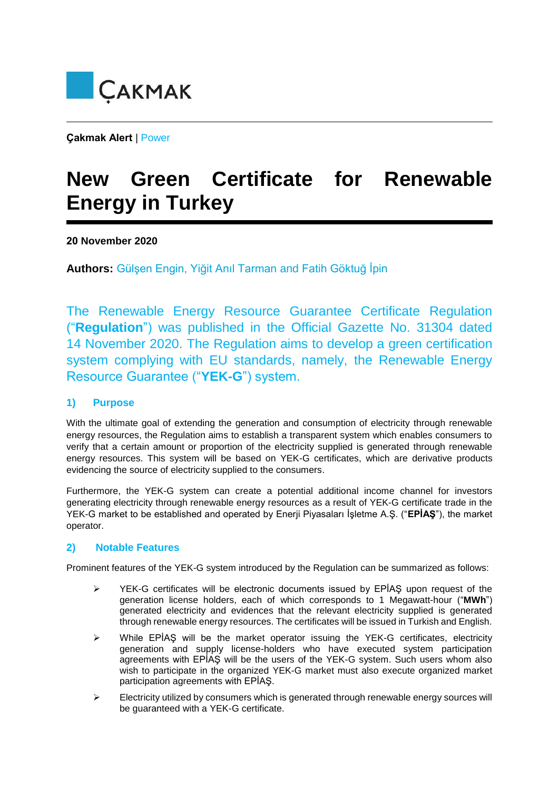

**Çakmak Alert** | Power

# **New Green Certificate for Renewable Energy in Turkey**

## **20 November 2020**

**Authors:** Gülşen Engin, Yiğit Anıl Tarman and Fatih Göktuğ İpin

The Renewable Energy Resource Guarantee Certificate Regulation ("**Regulation**") was published in the Official Gazette No. 31304 dated 14 November 2020. The Regulation aims to develop a green certification system complying with EU standards, namely, the Renewable Energy Resource Guarantee ("**YEK-G**") system.

## **1) Purpose**

With the ultimate goal of extending the generation and consumption of electricity through renewable energy resources, the Regulation aims to establish a transparent system which enables consumers to verify that a certain amount or proportion of the electricity supplied is generated through renewable energy resources. This system will be based on YEK-G certificates, which are derivative products evidencing the source of electricity supplied to the consumers.

Furthermore, the YEK-G system can create a potential additional income channel for investors generating electricity through renewable energy resources as a result of YEK-G certificate trade in the YEK-G market to be established and operated by Enerji Piyasaları İşletme A.Ş. ("**EPİAŞ**"), the market operator.

## **2) Notable Features**

Prominent features of the YEK-G system introduced by the Regulation can be summarized as follows:

- $\triangleright$  YEK-G certificates will be electronic documents issued by EPİAŞ upon request of the generation license holders, each of which corresponds to 1 Megawatt-hour ("**MWh**") generated electricity and evidences that the relevant electricity supplied is generated through renewable energy resources. The certificates will be issued in Turkish and English.
- $\triangleright$  While EPİAŞ will be the market operator issuing the YEK-G certificates, electricity generation and supply license-holders who have executed system participation agreements with EPİAŞ will be the users of the YEK-G system. Such users whom also wish to participate in the organized YEK-G market must also execute organized market participation agreements with EPİAŞ.
- $\triangleright$  Electricity utilized by consumers which is generated through renewable energy sources will be guaranteed with a YEK-G certificate.